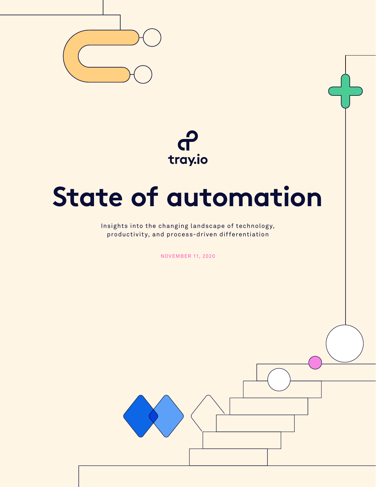

 $\theta$ <br>tray.io

# **State of automation**

Insights into the changing landscape of technology, productivity, and process-driven differentiation

NOVEMBER 11, 2020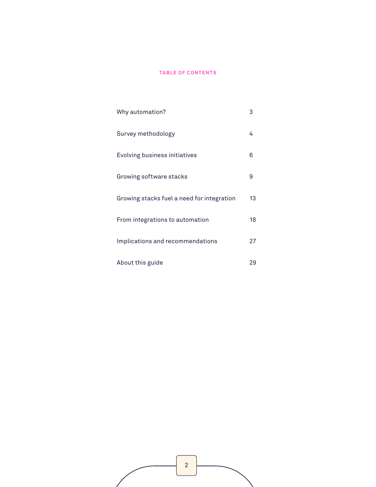#### **TABLE OF CONTENTS**

| Why automation?                            | 3  |
|--------------------------------------------|----|
| Survey methodology                         | 4  |
| Evolving business initiatives              | 6  |
| Growing software stacks                    | 9  |
| Growing stacks fuel a need for integration | 13 |
| From integrations to automation            | 18 |
| Implications and recommendations           | 27 |
| About this guide                           | 29 |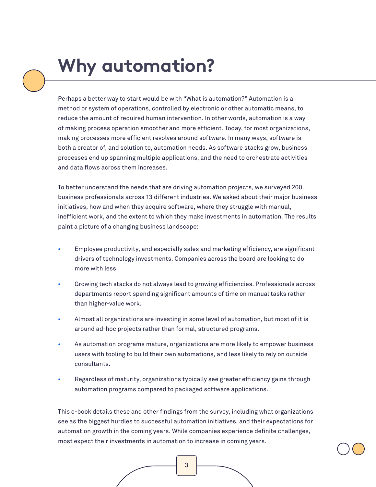## <span id="page-2-0"></span>**Why automation?**

Perhaps a better way to start would be with "What is automation?" Automation is a method or system of operations, controlled by electronic or other automatic means, to reduce the amount of required human intervention. In other words, automation is a way of making process operation smoother and more efficient. Today, for most organizations, making processes more efficient revolves around software. In many ways, software is both a creator of, and solution to, automation needs. As software stacks grow, business processes end up spanning multiple applications, and the need to orchestrate activities and data flows across them increases.

To better understand the needs that are driving automation projects, we surveyed 200 business professionals across 13 different industries. We asked about their major business initiatives, how and when they acquire software, where they struggle with manual, inefficient work, and the extent to which they make investments in automation. The results paint a picture of a changing business landscape:

- **•** Employee productivity, and especially sales and marketing efficiency, are significant drivers of technology investments. Companies across the board are looking to do more with less.
- **•** Growing tech stacks do not always lead to growing efficiencies. Professionals across departments report spending significant amounts of time on manual tasks rather than higher-value work.
- **•** Almost all organizations are investing in some level of automation, but most of it is around ad-hoc projects rather than formal, structured programs.
- **•** As automation programs mature, organizations are more likely to empower business users with tooling to build their own automations, and less likely to rely on outside consultants.
- **•** Regardless of maturity, organizations typically see greater efficiency gains through automation programs compared to packaged software applications.

This e-book details these and other findings from the survey, including what organizations see as the biggest hurdles to successful automation initiatives, and their expectations for automation growth in the coming years. While companies experience definite challenges, most expect their investments in automation to increase in coming years.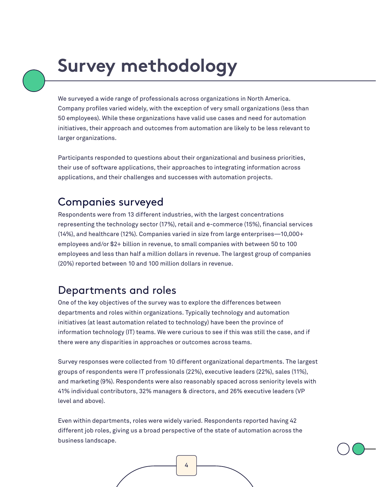## <span id="page-3-0"></span>**Survey methodology**

We surveyed a wide range of professionals across organizations in North America. Company profiles varied widely, with the exception of very small organizations (less than 50 employees). While these organizations have valid use cases and need for automation initiatives, their approach and outcomes from automation are likely to be less relevant to larger organizations.

Participants responded to questions about their organizational and business priorities, their use of software applications, their approaches to integrating information across applications, and their challenges and successes with automation projects.

### Companies surveyed

Respondents were from 13 different industries, with the largest concentrations representing the technology sector (17%), retail and e-commerce (15%), financial services (14%), and healthcare (12%). Companies varied in size from large enterprises—10,000+ employees and/or \$2+ billion in revenue, to small companies with between 50 to 100 employees and less than half a million dollars in revenue. The largest group of companies (20%) reported between 10 and 100 million dollars in revenue.

## Departments and roles

One of the key objectives of the survey was to explore the differences between departments and roles within organizations. Typically technology and automation initiatives (at least automation related to technology) have been the province of information technology (IT) teams. We were curious to see if this was still the case, and if there were any disparities in approaches or outcomes across teams.

Survey responses were collected from 10 different organizational departments. The largest groups of respondents were IT professionals (22%), executive leaders (22%), sales (11%), and marketing (9%). Respondents were also reasonably spaced across seniority levels with 41% individual contributors, 32% managers & directors, and 26% executive leaders (VP level and above).

Even within departments, roles were widely varied. Respondents reported having 42 different job roles, giving us a broad perspective of the state of automation across the business landscape.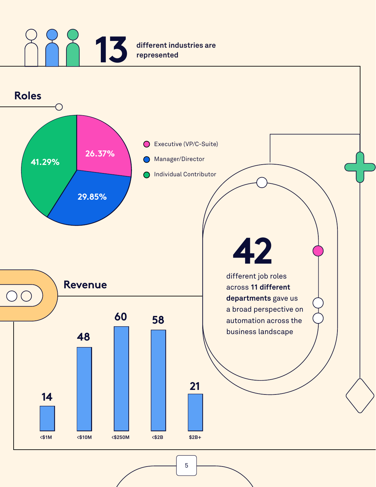## **13 different industries are represented represented**

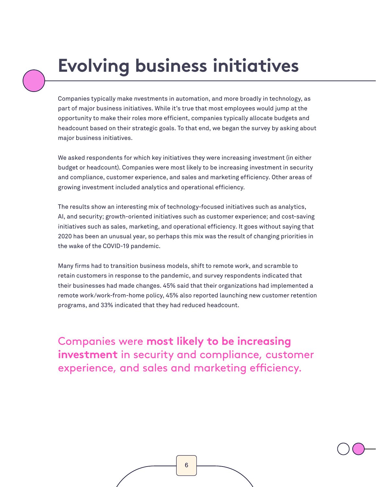## <span id="page-5-0"></span>**Evolving business initiatives**

Companies typically make nvestments in automation, and more broadly in technology, as part of major business initiatives. While it's true that most employees would jump at the opportunity to make their roles more efficient, companies typically allocate budgets and headcount based on their strategic goals. To that end, we began the survey by asking about major business initiatives.

We asked respondents for which key initiatives they were increasing investment (in either budget or headcount). Companies were most likely to be increasing investment in security and compliance, customer experience, and sales and marketing efficiency. Other areas of growing investment included analytics and operational efficiency.

The results show an interesting mix of technology-focused initiatives such as analytics, AI, and security; growth-oriented initiatives such as customer experience; and cost-saving initiatives such as sales, marketing, and operational efficiency. It goes without saying that 2020 has been an unusual year, so perhaps this mix was the result of changing priorities in the wake of the COVID-19 pandemic.

Many firms had to transition business models, shift to remote work, and scramble to retain customers in response to the pandemic, and survey respondents indicated that their businesses had made changes. 45% said that their organizations had implemented a remote work/work-from-home policy, 45% also reported launching new customer retention programs, and 33% indicated that they had reduced headcount.

Companies were **most likely to be increasing investment** in security and compliance, customer experience, and sales and marketing efficiency.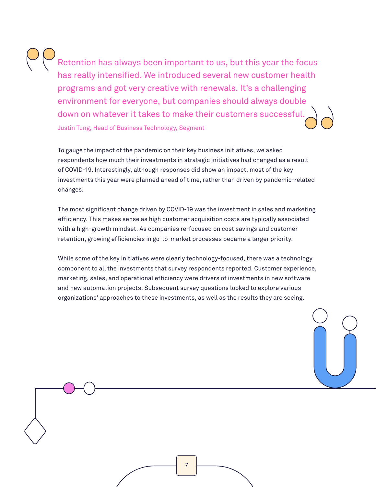Retention has always been important to us, but this year the focus has really intensified. We introduced several new customer health programs and got very creative with renewals. It's a challenging environment for everyone, but companies should always double down on whatever it takes to make their customers successful. Justin Tung, Head of Business Technology, Segment

To gauge the impact of the pandemic on their key business initiatives, we asked respondents how much their investments in strategic initiatives had changed as a result of COVID-19. Interestingly, although responses did show an impact, most of the key investments this year were planned ahead of time, rather than driven by pandemic-related changes.

The most significant change driven by COVID-19 was the investment in sales and marketing efficiency. This makes sense as high customer acquisition costs are typically associated with a high-growth mindset. As companies re-focused on cost savings and customer retention, growing efficiencies in go-to-market processes became a larger priority.

While some of the key initiatives were clearly technology-focused, there was a technology component to all the investments that survey respondents reported. Customer experience, marketing, sales, and operational efficiency were drivers of investments in new software and new automation projects. Subsequent survey questions looked to explore various organizations' approaches to these investments, as well as the results they are seeing.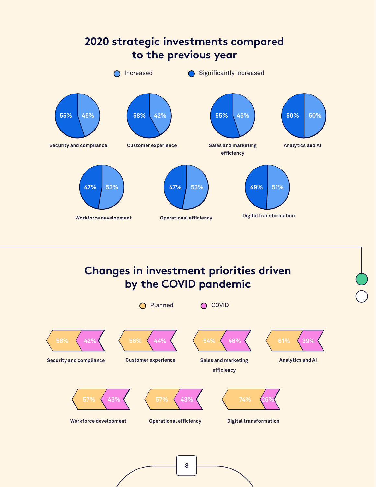

### **Changes in investment priorities driven by the COVID pandemic**

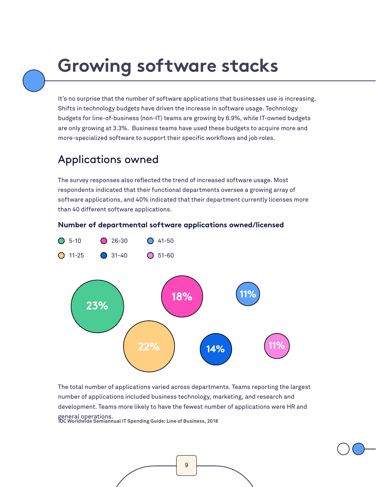## <span id="page-8-0"></span>**Growing software stacks**

It's no surprise that the number of software applications that businesses use is increasing. Shifts in technology budgets have driven the increase in software usage. Technology budgets for line-of-business (non-IT) teams are growing by 6.9%, while IT-owned budgets are only growing at 3.3%. Business teams have used these budgets to acquire more and more-specialized software to support their specific workflows and job roles.

### Applications owned

The survey responses also reflected the trend of increased software usage. Most respondents indicated that their functional departments oversee a growing array of software applications, and 40% indicated that their department currently licenses more than 40 different software applications.

#### **Number of departmental software applications owned/licensed**



The total number of applications varied across departments. Teams reporting the largest number of applications included business technology, marketing, and research and development. Teams more likely to have the fewest number of applications were HR and general operations.  **IDC Worldwide Semiannual IT Spending Guide: Line of Business, 2018**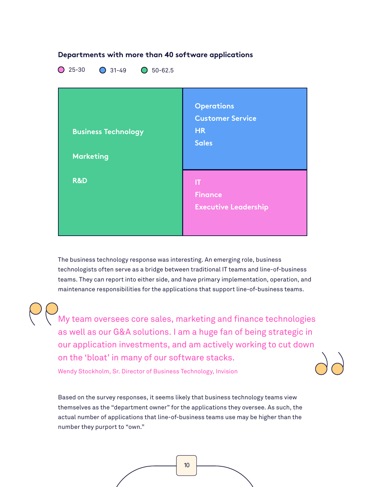

The business technology response was interesting. An emerging role, business technologists often serve as a bridge between traditional IT teams and line-of-business teams. They can report into either side, and have primary implementation, operation, and maintenance responsibilities for the applications that support line-of-business teams.

My team oversees core sales, marketing and finance technologies as well as our G&A solutions. I am a huge fan of being strategic in our application investments, and am actively working to cut down on the 'bloat' in many of our software stacks.

Wendy Stockholm, Sr. Director of Business Technology, Invision

Based on the survey responses, it seems likely that business technology teams view themselves as the "department owner" for the applications they oversee. As such, the actual number of applications that line-of-business teams use may be higher than the number they purport to "own."

#### **Departments with more than 40 software applications**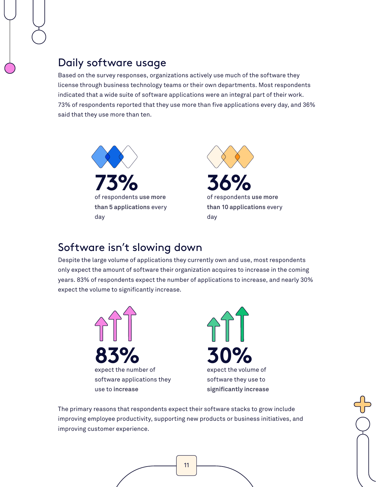### Daily software usage

Based on the survey responses, organizations actively use much of the software they license through business technology teams or their own departments. Most respondents indicated that a wide suite of software applications were an integral part of their work. 73% of respondents reported that they use more than five applications every day, and 36% said that they use more than ten.





#### Software isn't slowing down

Despite the large volume of applications they currently own and use, most respondents only expect the amount of software their organization acquires to increase in the coming years. 83% of respondents expect the number of applications to increase, and nearly 30% expect the volume to significantly increase.





The primary reasons that respondents expect their software stacks to grow include improving employee productivity, supporting new products or business initiatives, and improving customer experience.

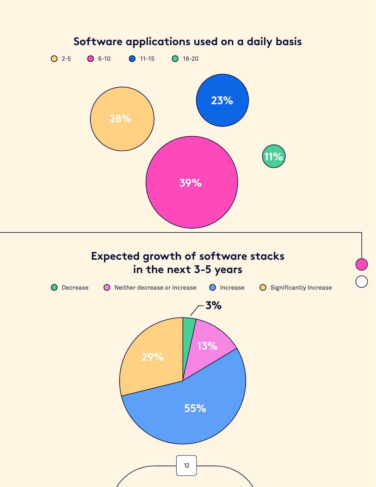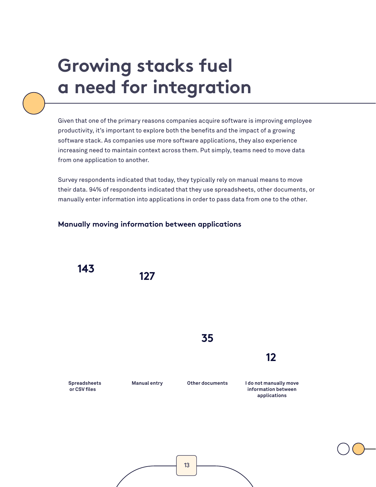## <span id="page-12-0"></span>**Growing stacks fuel a need for integration**

Given that one of the primary reasons companies acquire software is improving employee productivity, it's important to explore both the benefits and the impact of a growing software stack. As companies use more software applications, they also experience increasing need to maintain context across them. Put simply, teams need to move data from one application to another.

Survey respondents indicated that today, they typically rely on manual means to move their data. 94% of respondents indicated that they use spreadsheets, other documents, or manually enter information into applications in order to pass data from one to the other.



#### **Manually moving information between applications**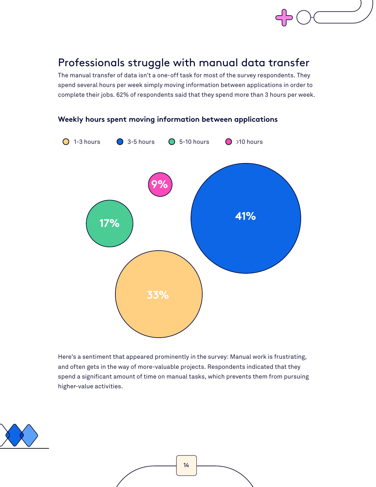### Professionals struggle with manual data transfer

The manual transfer of data isn't a one-off task for most of the survey respondents. They spend several hours per week simply moving information between applications in order to complete their jobs. 62% of respondents said that they spend more than 3 hours per week.



**Weekly hours spent moving information between applications**

Here's a sentiment that appeared prominently in the survey: Manual work is frustrating, and often gets in the way of more-valuable projects. Respondents indicated that they spend a significant amount of time on manual tasks, which prevents them from pursuing higher-value activities.

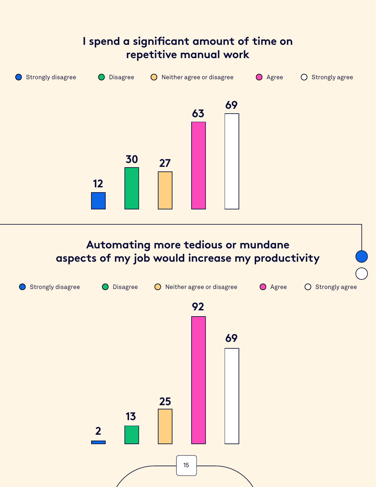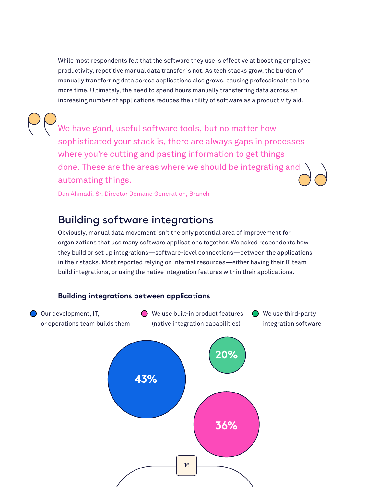While most respondents felt that the software they use is effective at boosting employee productivity, repetitive manual data transfer is not. As tech stacks grow, the burden of manually transferring data across applications also grows, causing professionals to lose more time. Ultimately, the need to spend hours manually transferring data across an increasing number of applications reduces the utility of software as a productivity aid.

We have good, useful software tools, but no matter how sophisticated your stack is, there are always gaps in processes where you're cutting and pasting information to get things done. These are the areas where we should be integrating and automating things.

Dan Ahmadi, Sr. Director Demand Generation, Branch

### Building software integrations

Obviously, manual data movement isn't the only potential area of improvement for organizations that use many software applications together. We asked respondents how they build or set up integrations—software-level connections—between the applications in their stacks. Most reported relying on internal resources—either having their IT team build integrations, or using the native integration features within their applications.

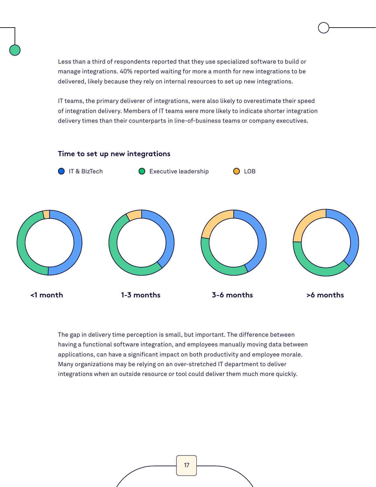Less than a third of respondents reported that they use specialized software to build or manage integrations. 40% reported waiting for more a month for new integrations to be delivered, likely because they rely on internal resources to set up new integrations.

IT teams, the primary deliverer of integrations, were also likely to overestimate their speed of integration delivery. Members of IT teams were more likely to indicate shorter integration delivery times than their counterparts in line-of-business teams or company executives.



The gap in delivery time perception is small, but important. The difference between having a functional software integration, and employees manually moving data between applications, can have a significant impact on both productivity and employee morale. Many organizations may be relying on an over-stretched IT department to deliver integrations when an outside resource or tool could deliver them much more quickly.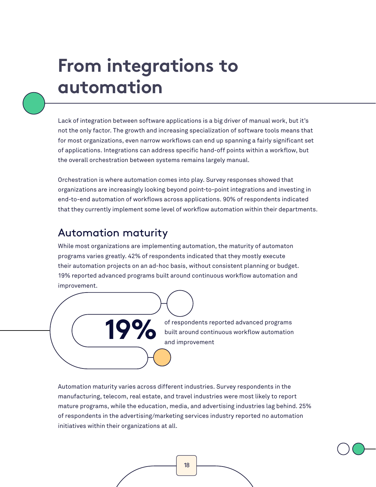## <span id="page-17-0"></span>**From integrations to automation**

Lack of integration between software applications is a big driver of manual work, but it's not the only factor. The growth and increasing specialization of software tools means that for most organizations, even narrow workflows can end up spanning a fairly significant set of applications. Integrations can address specific hand-off points within a workflow, but the overall orchestration between systems remains largely manual.

Orchestration is where automation comes into play. Survey responses showed that organizations are increasingly looking beyond point-to-point integrations and investing in end-to-end automation of workflows across applications. 90% of respondents indicated that they currently implement some level of workflow automation within their departments.

#### Automation maturity

While most organizations are implementing automation, the maturity of automaton programs varies greatly. 42% of respondents indicated that they mostly execute their automation projects on an ad-hoc basis, without consistent planning or budget. 19% reported advanced programs built around continuous workflow automation and improvement.



Automation maturity varies across different industries. Survey respondents in the manufacturing, telecom, real estate, and travel industries were most likely to report mature programs, while the education, media, and advertising industries lag behind. 25% of respondents in the advertising/marketing services industry reported no automation initiatives within their organizations at all.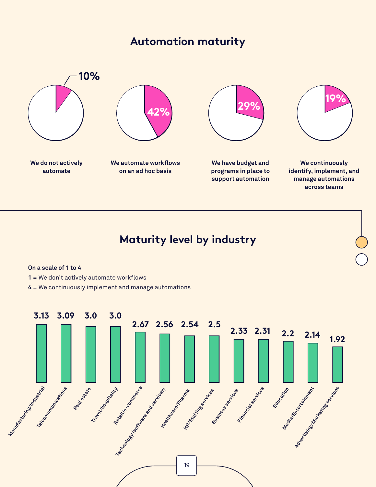### **Automation maturity**



### **Maturity level by industry**

#### **On a scale of 1 to 4**

- **1** = We don't actively automate workflows
- **4** = We continuously implement and manage automations

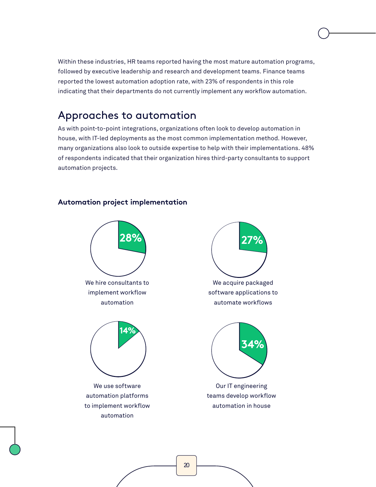Within these industries, HR teams reported having the most mature automation programs, followed by executive leadership and research and development teams. Finance teams reported the lowest automation adoption rate, with 23% of respondents in this role indicating that their departments do not currently implement any workflow automation.

#### Approaches to automation

As with point-to-point integrations, organizations often look to develop automation in house, with IT-led deployments as the most common implementation method. However, many organizations also look to outside expertise to help with their implementations. 48% of respondents indicated that their organization hires third-party consultants to support automation projects.

#### **Automation project implementation**



We acquire packaged **27%**

software applications to automate workflows



Our IT engineering teams develop workflow automation in house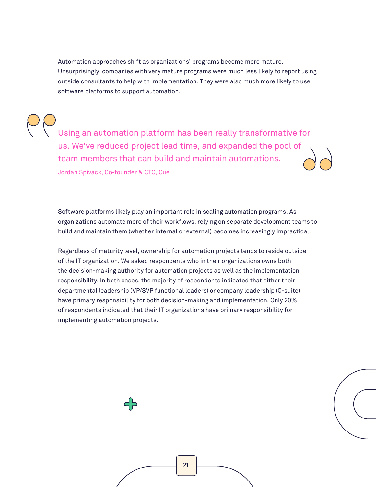Automation approaches shift as organizations' programs become more mature. Unsurprisingly, companies with very mature programs were much less likely to report using outside consultants to help with implementation. They were also much more likely to use software platforms to support automation.

Using an automation platform has been really transformative for us. We've reduced project lead time, and expanded the pool of team members that can build and maintain automations. Jordan Spivack, Co-founder & CTO, Cue

Software platforms likely play an important role in scaling automation programs. As organizations automate more of their workflows, relying on separate development teams to build and maintain them (whether internal or external) becomes increasingly impractical.

Regardless of maturity level, ownership for automation projects tends to reside outside of the IT organization. We asked respondents who in their organizations owns both the decision-making authority for automation projects as well as the implementation responsibility. In both cases, the majority of respondents indicated that either their departmental leadership (VP/SVP functional leaders) or company leadership (C-suite) have primary responsibility for both decision-making and implementation. Only 20% of respondents indicated that their IT organizations have primary responsibility for implementing automation projects.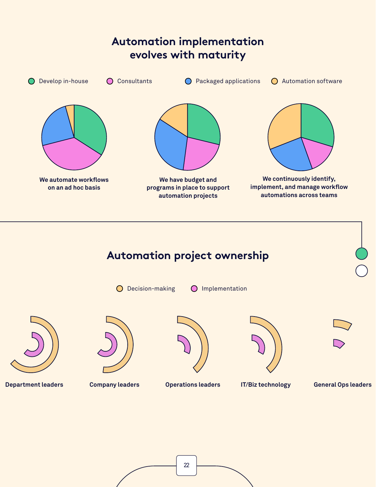

## **Automation project ownership**

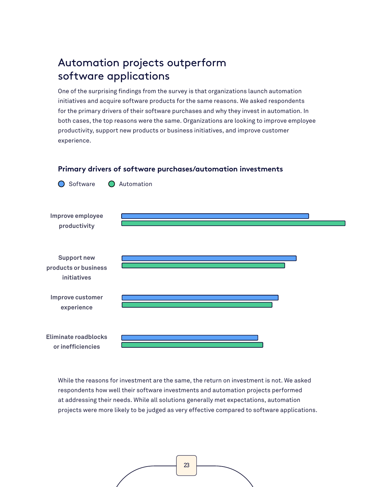### Automation projects outperform software applications

One of the surprising findings from the survey is that organizations launch automation initiatives and acquire software products for the same reasons. We asked respondents for the primary drivers of their software purchases and why they invest in automation. In both cases, the top reasons were the same. Organizations are looking to improve employee productivity, support new products or business initiatives, and improve customer experience.

#### **Primary drivers of software purchases/automation investments**

**Improve employee productivity Support new products or business initiatives Improve customer experience**

**Eliminate roadblocks or inefficiencies**

◯ Software ◯ Automation

While the reasons for investment are the same, the return on investment is not. We asked respondents how well their software investments and automation projects performed at addressing their needs. While all solutions generally met expectations, automation projects were more likely to be judged as very effective compared to software applications.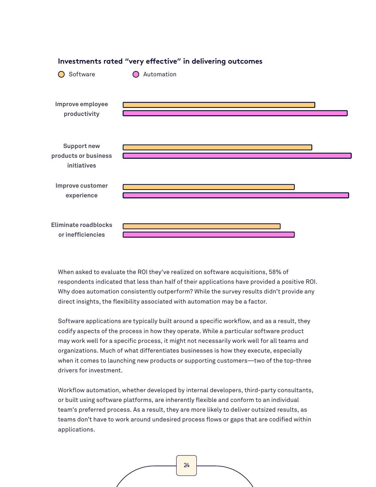

**Investments rated "very effective" in delivering outcomes**

When asked to evaluate the ROI they've realized on software acquisitions, 58% of respondents indicated that less than half of their applications have provided a positive ROI. Why does automation consistently outperform? While the survey results didn't provide any direct insights, the flexibility associated with automation may be a factor.

Software applications are typically built around a specific workflow, and as a result, they codify aspects of the process in how they operate. While a particular software product may work well for a specific process, it might not necessarily work well for all teams and organizations. Much of what differentiates businesses is how they execute, especially when it comes to launching new products or supporting customers—two of the top-three drivers for investment.

Workflow automation, whether developed by internal developers, third-party consultants, or built using software platforms, are inherently flexible and conform to an individual team's preferred process. As a result, they are more likely to deliver outsized results, as teams don't have to work around undesired process flows or gaps that are codified within applications.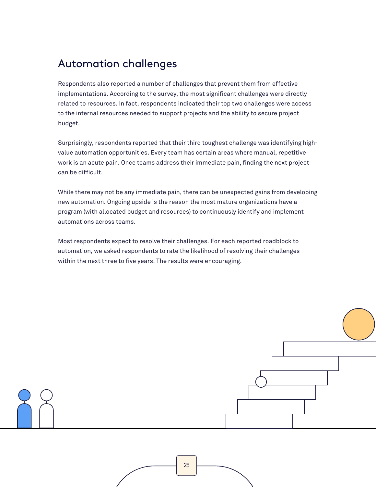### Automation challenges

Respondents also reported a number of challenges that prevent them from effective implementations. According to the survey, the most significant challenges were directly related to resources. In fact, respondents indicated their top two challenges were access to the internal resources needed to support projects and the ability to secure project budget.

Surprisingly, respondents reported that their third toughest challenge was identifying highvalue automation opportunities. Every team has certain areas where manual, repetitive work is an acute pain. Once teams address their immediate pain, finding the next project can be difficult.

While there may not be any immediate pain, there can be unexpected gains from developing new automation. Ongoing upside is the reason the most mature organizations have a program (with allocated budget and resources) to continuously identify and implement automations across teams.

Most respondents expect to resolve their challenges. For each reported roadblock to automation, we asked respondents to rate the likelihood of resolving their challenges within the next three to five years. The results were encouraging.

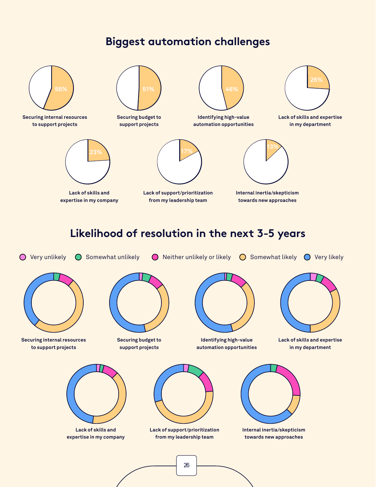#### **Biggest automation challenges**

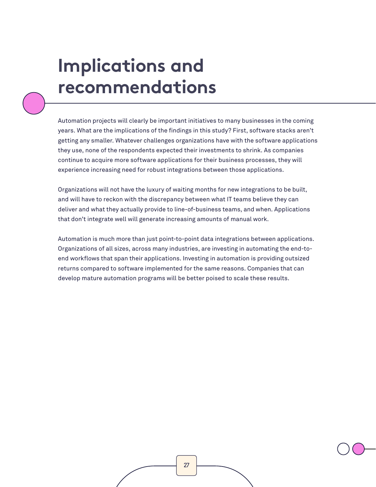## <span id="page-26-0"></span>**Implications and recommendations**

Automation projects will clearly be important initiatives to many businesses in the coming years. What are the implications of the findings in this study? First, software stacks aren't getting any smaller. Whatever challenges organizations have with the software applications they use, none of the respondents expected their investments to shrink. As companies continue to acquire more software applications for their business processes, they will experience increasing need for robust integrations between those applications.

Organizations will not have the luxury of waiting months for new integrations to be built, and will have to reckon with the discrepancy between what IT teams believe they can deliver and what they actually provide to line-of-business teams, and when. Applications that don't integrate well will generate increasing amounts of manual work.

Automation is much more than just point-to-point data integrations between applications. Organizations of all sizes, across many industries, are investing in automating the end-toend workflows that span their applications. Investing in automation is providing outsized returns compared to software implemented for the same reasons. Companies that can develop mature automation programs will be better poised to scale these results.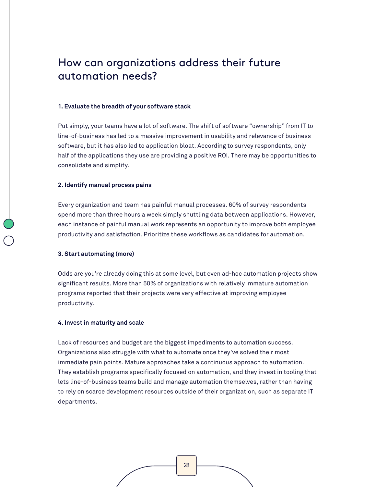### How can organizations address their future automation needs?

#### **1. Evaluate the breadth of your software stack**

Put simply, your teams have a lot of software. The shift of software "ownership" from IT to line-of-business has led to a massive improvement in usability and relevance of business software, but it has also led to application bloat. According to survey respondents, only half of the applications they use are providing a positive ROI. There may be opportunities to consolidate and simplify.

#### **2. Identify manual process pains**

Every organization and team has painful manual processes. 60% of survey respondents spend more than three hours a week simply shuttling data between applications. However, each instance of painful manual work represents an opportunity to improve both employee productivity and satisfaction. Prioritize these workflows as candidates for automation.

#### **3. Start automating (more)**

Odds are you're already doing this at some level, but even ad-hoc automation projects show significant results. More than 50% of organizations with relatively immature automation programs reported that their projects were very effective at improving employee productivity.

#### **4. Invest in maturity and scale**

Lack of resources and budget are the biggest impediments to automation success. Organizations also struggle with what to automate once they've solved their most immediate pain points. Mature approaches take a continuous approach to automation. They establish programs specifically focused on automation, and they invest in tooling that lets line-of-business teams build and manage automation themselves, rather than having to rely on scarce development resources outside of their organization, such as separate IT departments.